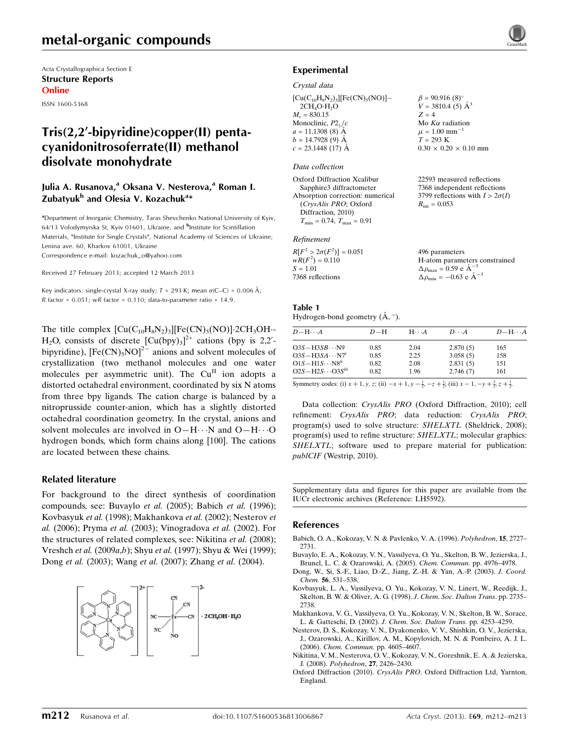# metal-organic compounds

Acta Crystallographica Section E Structure Reports Online

ISSN 1600-5368

# $Tris(2,2'-bipyridine)copper(II)$  pentacyanidonitrosoferrate(II) methanol disolvate monohydrate

## Julia A. Rusanova,<sup>a</sup> Oksana V. Nesterova,<sup>a</sup> Roman I. Zubatyuk<sup>b</sup> and Olesia V. Kozachuk<sup>a</sup>\*

<sup>a</sup>Department of Inorganic Chemistry, Taras Shevchenko National University of Kyiv, 64/13 Volodymyrska St, Kyiv 01601, Ukraine, and <sup>b</sup>Institute for Scintillation Materials, "Institute for Single Crystals", National Academy of Sciences of Ukraine, Lenina ave. 60, Kharkov 61001, Ukraine Correspondence e-mail: [kozachuk\\_o@yahoo.com](https://scripts.iucr.org/cgi-bin/cr.cgi?rm=pdfbb&cnor=lh5592&bbid=BB18)

Received 27 February 2013; accepted 12 March 2013

Key indicators: single-crystal X-ray study;  $T = 293$  K; mean  $\sigma$ (C–C) = 0.006 Å; R factor =  $0.051$ ; wR factor =  $0.110$ ; data-to-parameter ratio =  $14.9$ .

The title complex  $[\text{Cu}(C_{10}H_8N_2)_3][\text{Fe(CN)}_5(\text{NO})]\cdot 2\text{CH}_3\text{OH}$ H<sub>2</sub>O, consists of discrete  $[Cu(bpy)_3]^{2+}$  cations (bpy is 2,2'bipyridine),  $[Fe(CN)_5NO]^2$ <sup>-</sup> anions and solvent molecules of crystallization (two methanol molecules and one water molecules per asymmetric unit). The  $Cu<sup>H</sup>$  ion adopts a distorted octahedral environment, coordinated by six N atoms from three bpy ligands. The cation charge is balanced by a nitroprusside counter-anion, which has a slightly distorted octahedral coordination geometry. In the crystal, anions and solvent molecules are involved in  $O-H\cdots N$  and  $O-H\cdots O$ hydrogen bonds, which form chains along [100]. The cations are located between these chains.

### Related literature

For background to the direct synthesis of coordination compounds, see: Buvaylo et al. (2005); Babich et al. (1996); Kovbasyuk et al. (1998); Makhankova et al. (2002); Nesterov et al. (2006); Pryma et al. (2003); Vinogradova et al. (2002). For the structures of related complexes, see: Nikitina et al. (2008); Vreshch et al. (2009a,b); Shyu et al. (1997); Shyu & Wei (1999); Dong et al. (2003); Wang et al. (2007); Zhang et al. (2004).



## Experimental

#### Crystal data

 $[Cu(C_{10}H_8N_2)_3][Fe(CN)_5(NO)]$ .  $2CH<sub>4</sub>O·H<sub>2</sub>O$  $M_r = 830.15$ Monoclinic,  $P2<sub>1</sub>/c$  $a = 11.1308(8)$  Å  $b = 14.7928(9)$  Å  $c = 23.1448$  (17) Å

### Data collection

Oxford Diffraction Xcalibur Sapphire3 diffractometer Absorption correction: numerical (CrysAlis PRO; Oxford Diffraction, 2010)  $T_{\text{min}} = 0.74, T_{\text{max}} = 0.91$ 

### Refinement

| $R[F^2 > 2\sigma(F^2)] = 0.051$ | 496 parameters                                     |
|---------------------------------|----------------------------------------------------|
| $wR(F^2) = 0.110$               | H-atom parameters constrained                      |
| $S = 1.01$                      | $\Delta \rho_{\text{max}} = 0.59 \text{ e A}^{-3}$ |
| 7368 reflections                | $\Delta \rho_{\text{min}} = -0.63$ e $\AA^{-3}$    |

## Table 1

Hydrogen-bond geometry  $(\mathring{A}, \degree)$ .

| $D - H \cdots A$                                                                                                                                                                                                                                                                                                                                           | $D-H$ | $H\cdots A$ | $D\cdots A$ | $D$ -H $\cdots$ A |
|------------------------------------------------------------------------------------------------------------------------------------------------------------------------------------------------------------------------------------------------------------------------------------------------------------------------------------------------------------|-------|-------------|-------------|-------------------|
| $O3S-H3SB\cdots N9$                                                                                                                                                                                                                                                                                                                                        | 0.85  | 2.04        | 2.870(5)    | 165               |
| $O3S-H3SA\cdots N71$                                                                                                                                                                                                                                                                                                                                       | 0.85  | 2.25        | 3.058(5)    | 158               |
| $O1S-H1S\cdots N8ii$                                                                                                                                                                                                                                                                                                                                       | 0.82  | 2.08        | 2.831(5)    | 151               |
|                                                                                                                                                                                                                                                                                                                                                            | 0.82  | 1.96        | 2.746(7)    | 161               |
| $O2S-H2S\cdots O3Siii$<br>$\alpha$ and $\alpha$ and $\alpha$ and $\alpha$ and $\alpha$ and $\alpha$ and $\alpha$ and $\alpha$ and $\alpha$ and $\alpha$ and $\alpha$ and $\alpha$ and $\alpha$ and $\alpha$ and $\alpha$ and $\alpha$ and $\alpha$ and $\alpha$ and $\alpha$ and $\alpha$ and $\alpha$ and $\alpha$ and $\alpha$ and $\alpha$ and $\alpha$ |       |             |             |                   |

 $\beta = 90.916 (8)$ °  $V = 3810.4$  (5)  $\AA^3$ 

Mo  $K\alpha$  radiation  $\mu = 1.00$  mm<sup>-1</sup>  $T = 293$  K

 $R_{\text{int}} = 0.053$ 

 $0.30 \times 0.20 \times 0.10$  mm

22593 measured reflections 7368 independent reflections 3799 reflections with  $I > 2\sigma(I)$ 

 $Z = 4$ 

Symmetry codes: (i)  $x + 1$ ,  $y$ ,  $z$ ; (ii)  $-x + 1$ ,  $y - \frac{1}{2}$ ,  $-z + \frac{1}{2}$ ; (iii)  $x - 1$ ,  $-y + \frac{3}{2}$ ,  $z + \frac{1}{2}$ .

Data collection: CrysAlis PRO (Oxford Diffraction, 2010); cell refinement: CrysAlis PRO; data reduction: CrysAlis PRO; program(s) used to solve structure: SHELXTL (Sheldrick, 2008); program(s) used to refine structure: SHELXTL; molecular graphics: SHELXTL; software used to prepare material for publication: publCIF (Westrip, 2010).

Supplementary data and figures for this paper are available from the IUCr electronic archives (Reference: LH5592).

#### References

- [Babich, O. A., Kokozay, V. N. & Pavlenko, V. A. \(1996\).](https://scripts.iucr.org/cgi-bin/cr.cgi?rm=pdfbb&cnor=lh5592&bbid=BB1) Polyhedron, 15, 2727– [2731.](https://scripts.iucr.org/cgi-bin/cr.cgi?rm=pdfbb&cnor=lh5592&bbid=BB1)
- [Buvaylo, E. A., Kokozay, V. N., Vassilyeva, O. Yu., Skelton, B. W., Jezierska, J.,](https://scripts.iucr.org/cgi-bin/cr.cgi?rm=pdfbb&cnor=lh5592&bbid=BB2) [Brunel, L. C. & Ozarowski, A. \(2005\).](https://scripts.iucr.org/cgi-bin/cr.cgi?rm=pdfbb&cnor=lh5592&bbid=BB2) Chem. Commun. pp. 4976–4978.
- [Dong, W., Si, S.-F., Liao, D.-Z., Jiang, Z.-H. & Yan, A.-P. \(2003\).](https://scripts.iucr.org/cgi-bin/cr.cgi?rm=pdfbb&cnor=lh5592&bbid=BB3) J. Coord. Chem. 56[, 531–538.](https://scripts.iucr.org/cgi-bin/cr.cgi?rm=pdfbb&cnor=lh5592&bbid=BB3)
- [Kovbasyuk, L. A., Vassilyeva, O. Yu., Kokozay, V. N., Linert, W., Reedijk, J.,](https://scripts.iucr.org/cgi-bin/cr.cgi?rm=pdfbb&cnor=lh5592&bbid=BB4) [Skelton, B. W. & Oliver, A. G. \(1998\).](https://scripts.iucr.org/cgi-bin/cr.cgi?rm=pdfbb&cnor=lh5592&bbid=BB4) J. Chem. Soc. Dalton Trans. pp. 2735– [2738.](https://scripts.iucr.org/cgi-bin/cr.cgi?rm=pdfbb&cnor=lh5592&bbid=BB4)
- [Makhankova, V. G., Vassilyeva, O. Yu., Kokozay, V. N., Skelton, B. W., Sorace,](https://scripts.iucr.org/cgi-bin/cr.cgi?rm=pdfbb&cnor=lh5592&bbid=BB5) L. & Gatteschi, D. (2002). [J. Chem. Soc. Dalton Trans.](https://scripts.iucr.org/cgi-bin/cr.cgi?rm=pdfbb&cnor=lh5592&bbid=BB5) pp. 4253–4259.
- [Nesterov, D. S., Kokozay, V. N., Dyakonenko, V. V., Shishkin, O. V., Jezierska,](https://scripts.iucr.org/cgi-bin/cr.cgi?rm=pdfbb&cnor=lh5592&bbid=BB6) [J., Ozarowski, A., Kirillov, A. M., Kopylovich, M. N. & Pombeiro, A. J. L.](https://scripts.iucr.org/cgi-bin/cr.cgi?rm=pdfbb&cnor=lh5592&bbid=BB6) (2006). [Chem. Commun.](https://scripts.iucr.org/cgi-bin/cr.cgi?rm=pdfbb&cnor=lh5592&bbid=BB6) pp. 4605–4607.
- [Nikitina, V. M., Nesterova, O. V., Kokozay, V. N., Goreshnik, E. A. & Jezierska,](https://scripts.iucr.org/cgi-bin/cr.cgi?rm=pdfbb&cnor=lh5592&bbid=BB7) J. (2008). Polyhedron, 27[, 2426–2430.](https://scripts.iucr.org/cgi-bin/cr.cgi?rm=pdfbb&cnor=lh5592&bbid=BB7)
- Oxford Diffraction (2010). CrysAlis PRO[. Oxford Diffraction Ltd, Yarnton,](https://scripts.iucr.org/cgi-bin/cr.cgi?rm=pdfbb&cnor=lh5592&bbid=BB8) [England.](https://scripts.iucr.org/cgi-bin/cr.cgi?rm=pdfbb&cnor=lh5592&bbid=BB8)

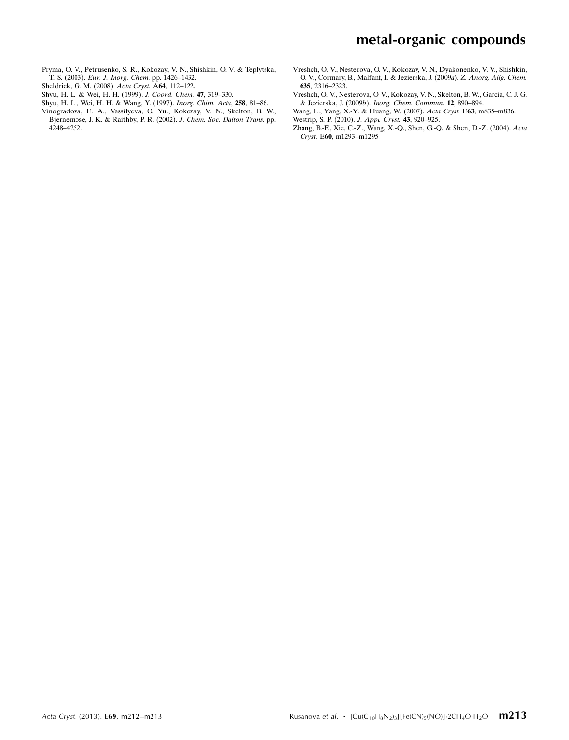- [Pryma, O. V., Petrusenko, S. R., Kokozay, V. N., Shishkin, O. V. & Teplytska,](https://scripts.iucr.org/cgi-bin/cr.cgi?rm=pdfbb&cnor=lh5592&bbid=BB9) T. S. (2003). [Eur. J. Inorg. Chem.](https://scripts.iucr.org/cgi-bin/cr.cgi?rm=pdfbb&cnor=lh5592&bbid=BB9) pp. 1426–1432.
- [Sheldrick, G. M. \(2008\).](https://scripts.iucr.org/cgi-bin/cr.cgi?rm=pdfbb&cnor=lh5592&bbid=BB10) Acta Cryst. A64, 112–122.
- [Shyu, H. L. & Wei, H. H. \(1999\).](https://scripts.iucr.org/cgi-bin/cr.cgi?rm=pdfbb&cnor=lh5592&bbid=BB11) J. Coord. Chem. 47, 319–330.
- [Shyu, H. L., Wei, H. H. & Wang, Y. \(1997\).](https://scripts.iucr.org/cgi-bin/cr.cgi?rm=pdfbb&cnor=lh5592&bbid=BB12) Inorg. Chim. Acta, 258, 81–86.
- [Vinogradova, E. A., Vassilyeva, O. Yu., Kokozay, V. N., Skelton, B. W.,](https://scripts.iucr.org/cgi-bin/cr.cgi?rm=pdfbb&cnor=lh5592&bbid=BB13) [Bjernemose, J. K. & Raithby, P. R. \(2002\).](https://scripts.iucr.org/cgi-bin/cr.cgi?rm=pdfbb&cnor=lh5592&bbid=BB13) J. Chem. Soc. Dalton Trans. pp. [4248–4252.](https://scripts.iucr.org/cgi-bin/cr.cgi?rm=pdfbb&cnor=lh5592&bbid=BB13)
- [Vreshch, O. V., Nesterova, O. V., Kokozay, V. N., Dyakonenko, V. V., Shishkin,](https://scripts.iucr.org/cgi-bin/cr.cgi?rm=pdfbb&cnor=lh5592&bbid=BB15) [O. V., Cormary, B., Malfant, I. & Jezierska, J. \(2009](https://scripts.iucr.org/cgi-bin/cr.cgi?rm=pdfbb&cnor=lh5592&bbid=BB15)a). Z. Anorg. Allg. Chem. 635[, 2316–2323.](https://scripts.iucr.org/cgi-bin/cr.cgi?rm=pdfbb&cnor=lh5592&bbid=BB15)
- [Vreshch, O. V., Nesterova, O. V., Kokozay, V. N., Skelton, B. W., Garcia, C. J. G.](https://scripts.iucr.org/cgi-bin/cr.cgi?rm=pdfbb&cnor=lh5592&bbid=BB15) & Jezierska, J. (2009b). [Inorg. Chem. Commun.](https://scripts.iucr.org/cgi-bin/cr.cgi?rm=pdfbb&cnor=lh5592&bbid=BB15) 12, 890–894.
- [Wang, L., Yang, X.-Y. & Huang, W. \(2007\).](https://scripts.iucr.org/cgi-bin/cr.cgi?rm=pdfbb&cnor=lh5592&bbid=BB16) Acta Cryst. E63, m835–m836.
- [Westrip, S. P. \(2010\).](https://scripts.iucr.org/cgi-bin/cr.cgi?rm=pdfbb&cnor=lh5592&bbid=BB17) J. Appl. Cryst. 43, 920–925.
- [Zhang, B.-F., Xie, C.-Z., Wang, X.-Q., Shen, G.-Q. & Shen, D.-Z. \(2004\).](https://scripts.iucr.org/cgi-bin/cr.cgi?rm=pdfbb&cnor=lh5592&bbid=BB18) Acta Cryst. E60[, m1293–m1295.](https://scripts.iucr.org/cgi-bin/cr.cgi?rm=pdfbb&cnor=lh5592&bbid=BB18)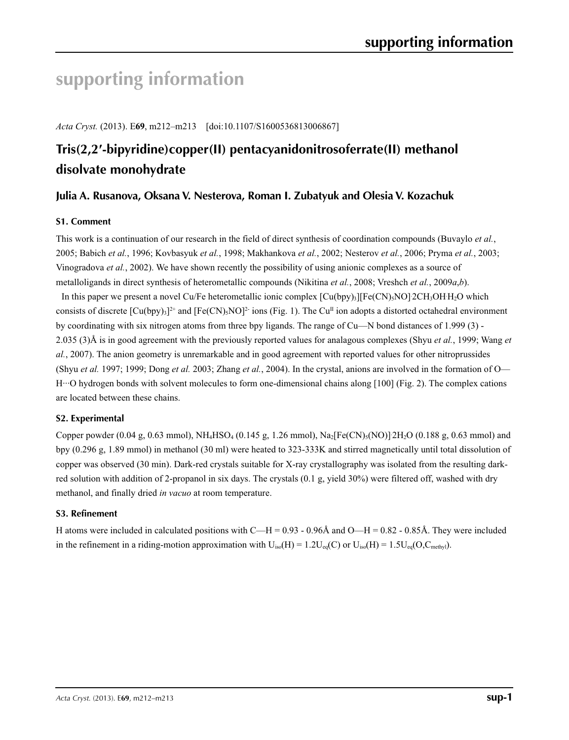# **supporting information**

*Acta Cryst.* (2013). E**69**, m212–m213 [doi:10.1107/S1600536813006867]

# **Tris(2,2′-bipyridine)copper(II) pentacyanidonitrosoferrate(II) methanol disolvate monohydrate**

# **Julia A. Rusanova, Oksana V. Nesterova, Roman I. Zubatyuk and Olesia V. Kozachuk**

## **S1. Comment**

This work is a continuation of our research in the field of direct synthesis of coordination compounds (Buvaylo *et al.*, 2005; Babich *et al.*, 1996; Kovbasyuk *et al.*, 1998; Makhankova *et al.*, 2002; Nesterov *et al.*, 2006; Pryma *et al.*, 2003; Vinogradova *et al.*, 2002). We have shown recently the possibility of using anionic complexes as a source of metalloligands in direct synthesis of heterometallic compounds (Nikitina *et al.*, 2008; Vreshch *et al.*, 2009*a*,*b*).

In this paper we present a novel Cu/Fe heterometallic ionic complex  $[Cu(bpy)_3][Fe(CN)_5NO]$ <sup>2</sup>CH<sub>3</sub>OHH<sub>2</sub>O which consists of discrete  $[Cu(bpy)_3]^{2+}$  and  $[Fe(CN)_5NO]^2$  ions (Fig. 1). The Cu<sup>II</sup> ion adopts a distorted octahedral environment by coordinating with six nitrogen atoms from three bpy ligands. The range of Cu—N bond distances of 1.999 (3) - 2.035 (3)Å is in good agreement with the previously reported values for analagous complexes (Shyu *et al.*, 1999; Wang *et al.*, 2007). The anion geometry is unremarkable and in good agreement with reported values for other nitroprussides (Shyu *et al.* 1997; 1999; Dong *et al.* 2003; Zhang *et al.*, 2004). In the crystal, anions are involved in the formation of O— H···O hydrogen bonds with solvent molecules to form one-dimensional chains along [100] (Fig. 2). The complex cations are located between these chains.

## **S2. Experimental**

Copper powder  $(0.04 \text{ g}, 0.63 \text{ mmol})$ , NH<sub>4</sub>HSO<sub>4</sub>  $(0.145 \text{ g}, 1.26 \text{ mmol})$ , Na<sub>2</sub>[Fe(CN)<sub>5</sub>(NO)]<sup>2</sup>H<sub>2</sub>O  $(0.188 \text{ g}, 0.63 \text{ mmol})$  and bpy (0.296 g, 1.89 mmol) in methanol (30 ml) were heated to 323-333K and stirred magnetically until total dissolution of copper was observed (30 min). Dark-red crystals suitable for X-ray crystallography was isolated from the resulting darkred solution with addition of 2-propanol in six days. The crystals (0.1 g, yield 30%) were filtered off, washed with dry methanol, and finally dried *in vacuo* at room temperature.

## **S3. Refinement**

H atoms were included in calculated positions with  $C-H = 0.93 - 0.96\text{\AA}$  and  $O-H = 0.82 - 0.85\text{\AA}$ . They were included in the refinement in a riding-motion approximation with  $U_{iso}(H) = 1.2U_{eq}(C)$  or  $U_{iso}(H) = 1.5U_{eq}(O, C_{methyl})$ .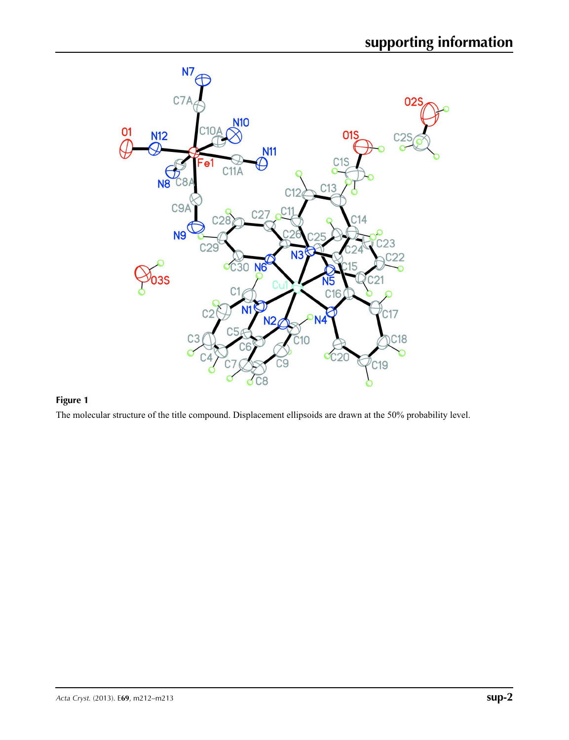

# **Figure 1**

The molecular structure of the title compound. Displacement ellipsoids are drawn at the 50% probability level.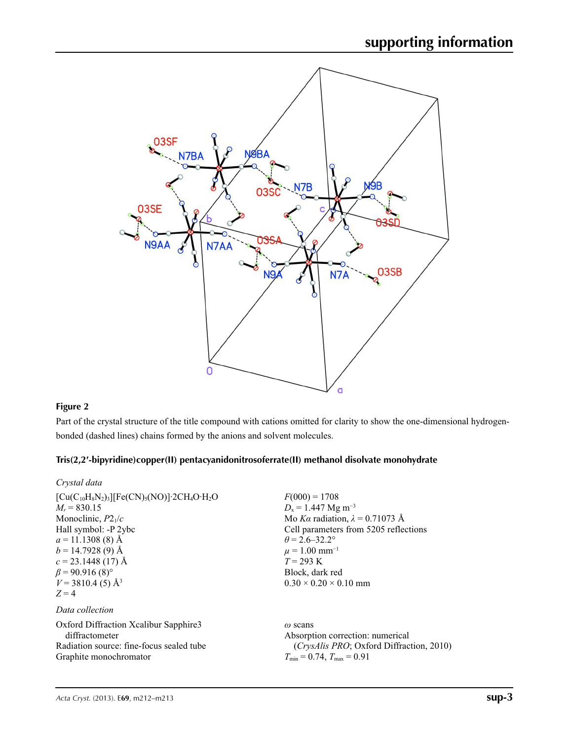

# **Figure 2**

Part of the crystal structure of the title compound with cations omitted for clarity to show the one-dimensional hydrogenbonded (dashed lines) chains formed by the anions and solvent molecules.

## **Tris(2,2′-bipyridine)copper(II) pentacyanidonitrosoferrate(II) methanol disolvate monohydrate**

| Crystal data                                                                                                                                                                                                                                                                                     |                                                                                                                                                                                                                                                                                |
|--------------------------------------------------------------------------------------------------------------------------------------------------------------------------------------------------------------------------------------------------------------------------------------------------|--------------------------------------------------------------------------------------------------------------------------------------------------------------------------------------------------------------------------------------------------------------------------------|
| $[Cu(C_{10}H_8N_2)_3][Fe(CN)_5(NO)]$ 2CH <sub>4</sub> O · H <sub>2</sub> O<br>$M_r = 830.15$<br>Monoclinic, $P2_1/c$<br>Hall symbol: -P 2ybc<br>$a = 11.1308(8)$ Å<br>$b = 14.7928(9)$ Å<br>$c = 23.1448(17)$ Å<br>$\beta$ = 90.916 (8) <sup>o</sup><br>$V = 3810.4$ (5) Å <sup>3</sup><br>$Z=4$ | $F(000) = 1708$<br>$D_x = 1.447$ Mg m <sup>-3</sup><br>Mo Ka radiation, $\lambda = 0.71073$ Å<br>Cell parameters from 5205 reflections<br>$\theta$ = 2.6–32.2°<br>$\mu = 1.00$ mm <sup>-1</sup><br>$T = 293 \text{ K}$<br>Block, dark red<br>$0.30 \times 0.20 \times 0.10$ mm |
| Data collection                                                                                                                                                                                                                                                                                  |                                                                                                                                                                                                                                                                                |
| Oxford Diffraction Xcalibur Sapphire3<br>diffractometer<br>Radiation source: fine-focus sealed tube<br>Graphite monochromator                                                                                                                                                                    | $\omega$ scans<br>Absorption correction: numerical<br><i>(CrysAlis PRO</i> ; Oxford Diffraction, 2010)<br>$T_{\min} = 0.74$ , $T_{\max} = 0.91$                                                                                                                                |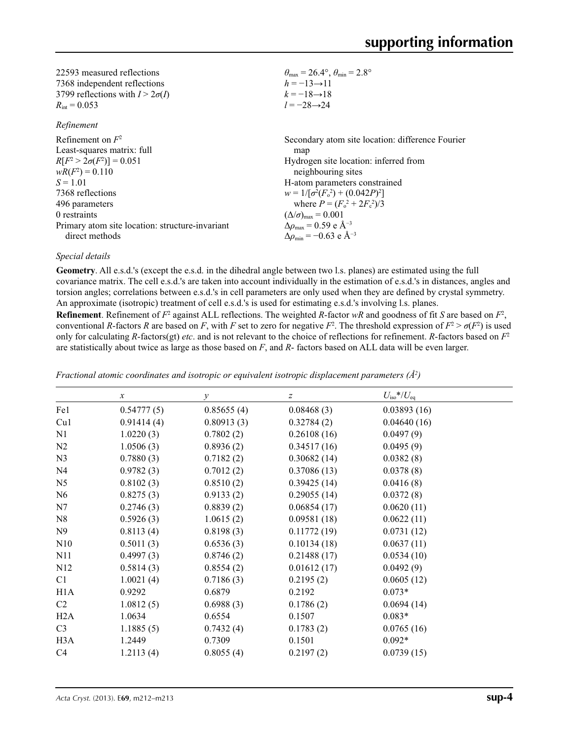| 22593 measured reflections             | $\theta_{\text{max}} = 26.4^{\circ}, \theta_{\text{min}} = 2.8^{\circ}$ |
|----------------------------------------|-------------------------------------------------------------------------|
| 7368 independent reflections           | $h = -13 \rightarrow 11$                                                |
| 3799 reflections with $I > 2\sigma(I)$ | $k = -18 \rightarrow 18$                                                |
| $R_{\text{int}} = 0.053$               | $l = -28 \rightarrow 24$                                                |
|                                        |                                                                         |

## *Refinement*

| Refinement on $F^2$                             | Secondary atom site location: difference Fourier  |
|-------------------------------------------------|---------------------------------------------------|
| Least-squares matrix: full                      | map                                               |
| $R[F^2 > 2\sigma(F^2)] = 0.051$                 | Hydrogen site location: inferred from             |
| $wR(F^2) = 0.110$                               | neighbouring sites                                |
| $S = 1.01$                                      | H-atom parameters constrained                     |
| 7368 reflections                                | $w = 1/[\sigma^2(F_0^2) + (0.042P)^2]$            |
| 496 parameters                                  | where $P = (F_o^2 + 2F_c^2)/3$                    |
| 0 restraints                                    | $(\Delta/\sigma)_{\text{max}} = 0.001$            |
| Primary atom site location: structure-invariant | $\Delta\rho_{\text{max}} = 0.59 \text{ e A}^{-3}$ |
| direct methods                                  | $\Delta\rho_{\rm min} = -0.63$ e Å <sup>-3</sup>  |

## *Special details*

**Geometry**. All e.s.d.'s (except the e.s.d. in the dihedral angle between two l.s. planes) are estimated using the full covariance matrix. The cell e.s.d.'s are taken into account individually in the estimation of e.s.d.'s in distances, angles and torsion angles; correlations between e.s.d.'s in cell parameters are only used when they are defined by crystal symmetry. An approximate (isotropic) treatment of cell e.s.d.'s is used for estimating e.s.d.'s involving l.s. planes.

**Refinement**. Refinement of  $F^2$  against ALL reflections. The weighted *R*-factor  $wR$  and goodness of fit *S* are based on  $F^2$ , conventional *R*-factors *R* are based on *F*, with *F* set to zero for negative  $F^2$ . The threshold expression of  $F^2 > \sigma(F^2)$  is used only for calculating *R*-factors(gt) *etc*. and is not relevant to the choice of reflections for refinement. *R*-factors based on *F*<sup>2</sup> are statistically about twice as large as those based on *F*, and *R*- factors based on ALL data will be even larger.

|                  | $\boldsymbol{x}$ | $\mathcal{Y}$ | $\boldsymbol{Z}$ | $U_{\rm iso}*/U_{\rm eq}$ |  |
|------------------|------------------|---------------|------------------|---------------------------|--|
| Fe1              | 0.54777(5)       | 0.85655(4)    | 0.08468(3)       | 0.03893(16)               |  |
| Cu1              | 0.91414(4)       | 0.80913(3)    | 0.32784(2)       | 0.04640(16)               |  |
| N1               | 1.0220(3)        | 0.7802(2)     | 0.26108(16)      | 0.0497(9)                 |  |
| N <sub>2</sub>   | 1.0506(3)        | 0.8936(2)     | 0.34517(16)      | 0.0495(9)                 |  |
| N <sub>3</sub>   | 0.7880(3)        | 0.7182(2)     | 0.30682(14)      | 0.0382(8)                 |  |
| N <sub>4</sub>   | 0.9782(3)        | 0.7012(2)     | 0.37086(13)      | 0.0378(8)                 |  |
| N <sub>5</sub>   | 0.8102(3)        | 0.8510(2)     | 0.39425(14)      | 0.0416(8)                 |  |
| N <sub>6</sub>   | 0.8275(3)        | 0.9133(2)     | 0.29055(14)      | 0.0372(8)                 |  |
| N7               | 0.2746(3)        | 0.8839(2)     | 0.06854(17)      | 0.0620(11)                |  |
| N8               | 0.5926(3)        | 1.0615(2)     | 0.09581(18)      | 0.0622(11)                |  |
| N9               | 0.8113(4)        | 0.8198(3)     | 0.11772(19)      | 0.0731(12)                |  |
| N10              | 0.5011(3)        | 0.6536(3)     | 0.10134(18)      | 0.0637(11)                |  |
| N11              | 0.4997(3)        | 0.8746(2)     | 0.21488(17)      | 0.0534(10)                |  |
| N12              | 0.5814(3)        | 0.8554(2)     | 0.01612(17)      | 0.0492(9)                 |  |
| C1               | 1.0021(4)        | 0.7186(3)     | 0.2195(2)        | 0.0605(12)                |  |
| H1A              | 0.9292           | 0.6879        | 0.2192           | $0.073*$                  |  |
| C <sub>2</sub>   | 1.0812(5)        | 0.6988(3)     | 0.1786(2)        | 0.0694(14)                |  |
| H2A              | 1.0634           | 0.6554        | 0.1507           | $0.083*$                  |  |
| C <sub>3</sub>   | 1.1885(5)        | 0.7432(4)     | 0.1783(2)        | 0.0765(16)                |  |
| H <sub>3</sub> A | 1.2449           | 0.7309        | 0.1501           | $0.092*$                  |  |
| C <sub>4</sub>   | 1.2113(4)        | 0.8055(4)     | 0.2197(2)        | 0.0739(15)                |  |

*Fractional atomic coordinates and isotropic or equivalent isotropic displacement parameters (Å<sup>2</sup>)*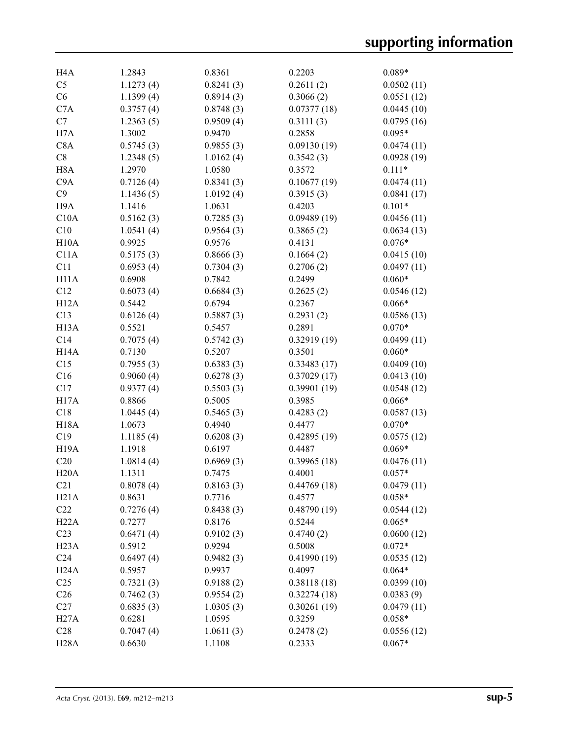| H <sub>4</sub> A  | 1.2843    | 0.8361    | 0.2203      | $0.089*$   |
|-------------------|-----------|-----------|-------------|------------|
| C <sub>5</sub>    | 1.1273(4) | 0.8241(3) | 0.2611(2)   | 0.0502(11) |
| C6                | 1.1399(4) | 0.8914(3) | 0.3066(2)   | 0.0551(12) |
| C7A               | 0.3757(4) | 0.8748(3) | 0.07377(18) | 0.0445(10) |
| C7                | 1.2363(5) | 0.9509(4) | 0.3111(3)   | 0.0795(16) |
| H7A               | 1.3002    | 0.9470    | 0.2858      | $0.095*$   |
| C8A               | 0.5745(3) | 0.9855(3) | 0.09130(19) | 0.0474(11) |
| C8                | 1.2348(5) | 1.0162(4) | 0.3542(3)   | 0.0928(19) |
| H <sub>8</sub> A  | 1.2970    | 1.0580    | 0.3572      | $0.111*$   |
| C <sub>9</sub> A  | 0.7126(4) | 0.8341(3) | 0.10677(19) | 0.0474(11) |
| C9                | 1.1436(5) | 1.0192(4) | 0.3915(3)   | 0.0841(17) |
| H <sub>9</sub> A  | 1.1416    | 1.0631    | 0.4203      | $0.101*$   |
| C10A              | 0.5162(3) | 0.7285(3) | 0.09489(19) | 0.0456(11) |
| C10               | 1.0541(4) | 0.9564(3) | 0.3865(2)   | 0.0634(13) |
| H10A              | 0.9925    | 0.9576    | 0.4131      | $0.076*$   |
| C11A              | 0.5175(3) | 0.8666(3) | 0.1664(2)   | 0.0415(10) |
| C11               | 0.6953(4) | 0.7304(3) | 0.2706(2)   | 0.0497(11) |
| H <sub>11</sub> A | 0.6908    | 0.7842    | 0.2499      | $0.060*$   |
| C12               | 0.6073(4) | 0.6684(3) | 0.2625(2)   | 0.0546(12) |
| H12A              | 0.5442    | 0.6794    | 0.2367      | $0.066*$   |
| C13               | 0.6126(4) | 0.5887(3) | 0.2931(2)   | 0.0586(13) |
| H13A              | 0.5521    | 0.5457    | 0.2891      | $0.070*$   |
| C14               | 0.7075(4) | 0.5742(3) | 0.32919(19) | 0.0499(11) |
| H <sub>14</sub> A |           |           |             |            |
|                   | 0.7130    | 0.5207    | 0.3501      | $0.060*$   |
| C15               | 0.7955(3) | 0.6383(3) | 0.33483(17) | 0.0409(10) |
| C16               | 0.9060(4) | 0.6278(3) | 0.37029(17) | 0.0413(10) |
| C17               | 0.9377(4) | 0.5503(3) | 0.39901(19) | 0.0548(12) |
| H17A              | 0.8866    | 0.5005    | 0.3985      | $0.066*$   |
| C18               | 1.0445(4) | 0.5465(3) | 0.4283(2)   | 0.0587(13) |
| <b>H18A</b>       | 1.0673    | 0.4940    | 0.4477      | $0.070*$   |
| C19               | 1.1185(4) | 0.6208(3) | 0.42895(19) | 0.0575(12) |
| H <sub>19</sub> A | 1.1918    | 0.6197    | 0.4487      | $0.069*$   |
| C20               | 1.0814(4) | 0.6969(3) | 0.39965(18) | 0.0476(11) |
| H20A              | 1.1311    | 0.7475    | 0.4001      | $0.057*$   |
| C21               | 0.8078(4) | 0.8163(3) | 0.44769(18) | 0.0479(11) |
| H21A              | 0.8631    | 0.7716    | 0.4577      | $0.058*$   |
| C22               | 0.7276(4) | 0.8438(3) | 0.48790(19) | 0.0544(12) |
| H22A              | 0.7277    | 0.8176    | 0.5244      | $0.065*$   |
| C <sub>23</sub>   | 0.6471(4) | 0.9102(3) | 0.4740(2)   | 0.0600(12) |
| H <sub>23</sub> A | 0.5912    | 0.9294    | 0.5008      | $0.072*$   |
| C <sub>24</sub>   | 0.6497(4) | 0.9482(3) | 0.41990(19) | 0.0535(12) |
| H <sub>24</sub> A | 0.5957    | 0.9937    | 0.4097      | $0.064*$   |
| C <sub>25</sub>   | 0.7321(3) | 0.9188(2) | 0.38118(18) | 0.0399(10) |
| C <sub>26</sub>   | 0.7462(3) | 0.9554(2) | 0.32274(18) | 0.0383(9)  |
| C27               | 0.6835(3) | 1.0305(3) | 0.30261(19) | 0.0479(11) |
| H27A              | 0.6281    | 1.0595    | 0.3259      | $0.058*$   |
| C28               | 0.7047(4) | 1.0611(3) | 0.2478(2)   | 0.0556(12) |
| <b>H28A</b>       | 0.6630    | 1.1108    | 0.2333      | $0.067*$   |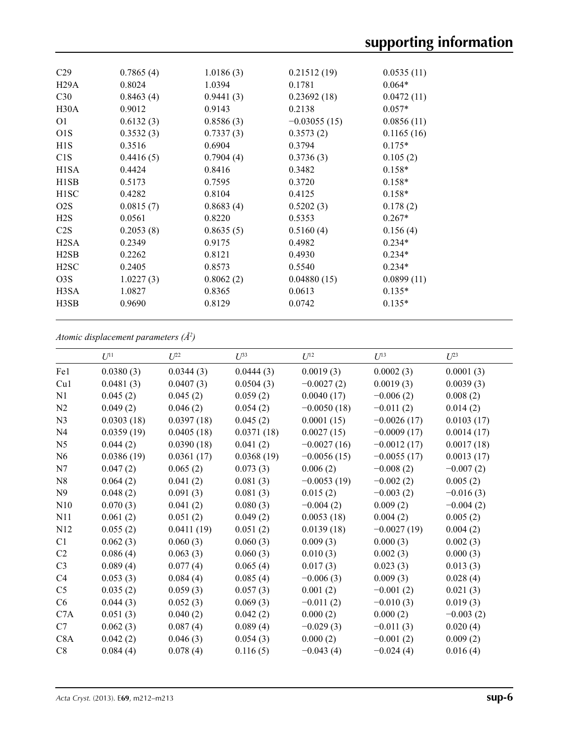| C <sub>29</sub>   | 0.7865(4) | 1.0186(3) | 0.21512(19)    | 0.0535(11) |  |
|-------------------|-----------|-----------|----------------|------------|--|
| H29A              | 0.8024    | 1.0394    | 0.1781         | $0.064*$   |  |
| C30               | 0.8463(4) | 0.9441(3) | 0.23692(18)    | 0.0472(11) |  |
| H30A              | 0.9012    | 0.9143    | 0.2138         | $0.057*$   |  |
| O <sub>1</sub>    | 0.6132(3) | 0.8586(3) | $-0.03055(15)$ | 0.0856(11) |  |
| O <sub>1</sub> S  | 0.3532(3) | 0.7337(3) | 0.3573(2)      | 0.1165(16) |  |
| H1S               | 0.3516    | 0.6904    | 0.3794         | $0.175*$   |  |
| C1S               | 0.4416(5) | 0.7904(4) | 0.3736(3)      | 0.105(2)   |  |
| H <sub>1</sub> SA | 0.4424    | 0.8416    | 0.3482         | $0.158*$   |  |
| H <sub>1</sub> SB | 0.5173    | 0.7595    | 0.3720         | $0.158*$   |  |
| H <sub>1</sub> SC | 0.4282    | 0.8104    | 0.4125         | $0.158*$   |  |
| O <sub>2</sub> S  | 0.0815(7) | 0.8683(4) | 0.5202(3)      | 0.178(2)   |  |
| H2S               | 0.0561    | 0.8220    | 0.5353         | $0.267*$   |  |
| C2S               | 0.2053(8) | 0.8635(5) | 0.5160(4)      | 0.156(4)   |  |
| H <sub>2</sub> SA | 0.2349    | 0.9175    | 0.4982         | $0.234*$   |  |
| H <sub>2</sub> SB | 0.2262    | 0.8121    | 0.4930         | $0.234*$   |  |
| H <sub>2</sub> SC | 0.2405    | 0.8573    | 0.5540         | $0.234*$   |  |
| O <sub>3</sub> S  | 1.0227(3) | 0.8062(2) | 0.04880(15)    | 0.0899(11) |  |
| H3SA              | 1.0827    | 0.8365    | 0.0613         | $0.135*$   |  |
| H3SB              | 0.9690    | 0.8129    | 0.0742         | $0.135*$   |  |
|                   |           |           |                |            |  |

*Atomic displacement parameters (Å2 )*

|                  | $U^{11}$   | $L^{22}$   | $U^{33}$   | $U^{12}$      | $U^{13}$      | $U^{23}$    |
|------------------|------------|------------|------------|---------------|---------------|-------------|
| Fe1              | 0.0380(3)  | 0.0344(3)  | 0.0444(3)  | 0.0019(3)     | 0.0002(3)     | 0.0001(3)   |
| Cu1              | 0.0481(3)  | 0.0407(3)  | 0.0504(3)  | $-0.0027(2)$  | 0.0019(3)     | 0.0039(3)   |
| N1               | 0.045(2)   | 0.045(2)   | 0.059(2)   | 0.0040(17)    | $-0.006(2)$   | 0.008(2)    |
| N2               | 0.049(2)   | 0.046(2)   | 0.054(2)   | $-0.0050(18)$ | $-0.011(2)$   | 0.014(2)    |
| N <sub>3</sub>   | 0.0303(18) | 0.0397(18) | 0.045(2)   | 0.0001(15)    | $-0.0026(17)$ | 0.0103(17)  |
| N <sub>4</sub>   | 0.0359(19) | 0.0405(18) | 0.0371(18) | 0.0027(15)    | $-0.0009(17)$ | 0.0014(17)  |
| N <sub>5</sub>   | 0.044(2)   | 0.0390(18) | 0.041(2)   | $-0.0027(16)$ | $-0.0012(17)$ | 0.0017(18)  |
| N <sub>6</sub>   | 0.0386(19) | 0.0361(17) | 0.0368(19) | $-0.0056(15)$ | $-0.0055(17)$ | 0.0013(17)  |
| N7               | 0.047(2)   | 0.065(2)   | 0.073(3)   | 0.006(2)      | $-0.008(2)$   | $-0.007(2)$ |
| N8               | 0.064(2)   | 0.041(2)   | 0.081(3)   | $-0.0053(19)$ | $-0.002(2)$   | 0.005(2)    |
| N <sub>9</sub>   | 0.048(2)   | 0.091(3)   | 0.081(3)   | 0.015(2)      | $-0.003(2)$   | $-0.016(3)$ |
| N10              | 0.070(3)   | 0.041(2)   | 0.080(3)   | $-0.004(2)$   | 0.009(2)      | $-0.004(2)$ |
| N11              | 0.061(2)   | 0.051(2)   | 0.049(2)   | 0.0053(18)    | 0.004(2)      | 0.005(2)    |
| N12              | 0.055(2)   | 0.0411(19) | 0.051(2)   | 0.0139(18)    | $-0.0027(19)$ | 0.004(2)    |
| C1               | 0.062(3)   | 0.060(3)   | 0.060(3)   | 0.009(3)      | 0.000(3)      | 0.002(3)    |
| C2               | 0.086(4)   | 0.063(3)   | 0.060(3)   | 0.010(3)      | 0.002(3)      | 0.000(3)    |
| C <sub>3</sub>   | 0.089(4)   | 0.077(4)   | 0.065(4)   | 0.017(3)      | 0.023(3)      | 0.013(3)    |
| C4               | 0.053(3)   | 0.084(4)   | 0.085(4)   | $-0.006(3)$   | 0.009(3)      | 0.028(4)    |
| C <sub>5</sub>   | 0.035(2)   | 0.059(3)   | 0.057(3)   | 0.001(2)      | $-0.001(2)$   | 0.021(3)    |
| C6               | 0.044(3)   | 0.052(3)   | 0.069(3)   | $-0.011(2)$   | $-0.010(3)$   | 0.019(3)    |
| C7A              | 0.051(3)   | 0.040(2)   | 0.042(2)   | 0.000(2)      | 0.000(2)      | $-0.003(2)$ |
| C7               | 0.062(3)   | 0.087(4)   | 0.089(4)   | $-0.029(3)$   | $-0.011(3)$   | 0.020(4)    |
| C <sub>8</sub> A | 0.042(2)   | 0.046(3)   | 0.054(3)   | 0.000(2)      | $-0.001(2)$   | 0.009(2)    |
| C8               | 0.084(4)   | 0.078(4)   | 0.116(5)   | $-0.043(4)$   | $-0.024(4)$   | 0.016(4)    |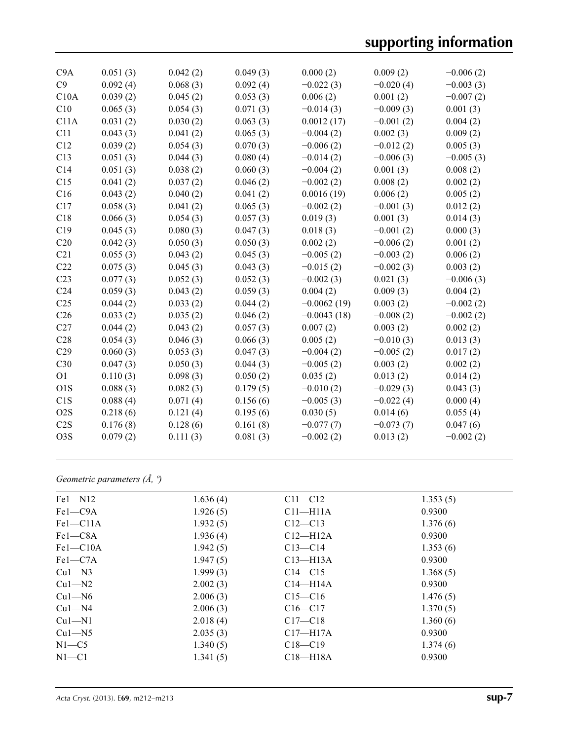# **supporting information**

| C9A              | 0.051(3) | 0.042(2) | 0.049(3) | 0.000(2)      | 0.009(2)    | $-0.006(2)$ |
|------------------|----------|----------|----------|---------------|-------------|-------------|
| C9               | 0.092(4) | 0.068(3) | 0.092(4) | $-0.022(3)$   | $-0.020(4)$ | $-0.003(3)$ |
| C10A             | 0.039(2) | 0.045(2) | 0.053(3) | 0.006(2)      | 0.001(2)    | $-0.007(2)$ |
| C10              | 0.065(3) | 0.054(3) | 0.071(3) | $-0.014(3)$   | $-0.009(3)$ | 0.001(3)    |
| C11A             | 0.031(2) | 0.030(2) | 0.063(3) | 0.0012(17)    | $-0.001(2)$ | 0.004(2)    |
| C11              | 0.043(3) | 0.041(2) | 0.065(3) | $-0.004(2)$   | 0.002(3)    | 0.009(2)    |
| C12              | 0.039(2) | 0.054(3) | 0.070(3) | $-0.006(2)$   | $-0.012(2)$ | 0.005(3)    |
| C13              | 0.051(3) | 0.044(3) | 0.080(4) | $-0.014(2)$   | $-0.006(3)$ | $-0.005(3)$ |
| C14              | 0.051(3) | 0.038(2) | 0.060(3) | $-0.004(2)$   | 0.001(3)    | 0.008(2)    |
| C15              | 0.041(2) | 0.037(2) | 0.046(2) | $-0.002(2)$   | 0.008(2)    | 0.002(2)    |
| C16              | 0.043(2) | 0.040(2) | 0.041(2) | 0.0016(19)    | 0.006(2)    | 0.005(2)    |
| C17              | 0.058(3) | 0.041(2) | 0.065(3) | $-0.002(2)$   | $-0.001(3)$ | 0.012(2)    |
| C18              | 0.066(3) | 0.054(3) | 0.057(3) | 0.019(3)      | 0.001(3)    | 0.014(3)    |
| C19              | 0.045(3) | 0.080(3) | 0.047(3) | 0.018(3)      | $-0.001(2)$ | 0.000(3)    |
| C20              | 0.042(3) | 0.050(3) | 0.050(3) | 0.002(2)      | $-0.006(2)$ | 0.001(2)    |
| C21              | 0.055(3) | 0.043(2) | 0.045(3) | $-0.005(2)$   | $-0.003(2)$ | 0.006(2)    |
| C22              | 0.075(3) | 0.045(3) | 0.043(3) | $-0.015(2)$   | $-0.002(3)$ | 0.003(2)    |
| C <sub>23</sub>  | 0.077(3) | 0.052(3) | 0.052(3) | $-0.002(3)$   | 0.021(3)    | $-0.006(3)$ |
| C <sub>24</sub>  | 0.059(3) | 0.043(2) | 0.059(3) | 0.004(2)      | 0.009(3)    | 0.004(2)    |
| C <sub>25</sub>  | 0.044(2) | 0.033(2) | 0.044(2) | $-0.0062(19)$ | 0.003(2)    | $-0.002(2)$ |
| C <sub>26</sub>  | 0.033(2) | 0.035(2) | 0.046(2) | $-0.0043(18)$ | $-0.008(2)$ | $-0.002(2)$ |
| C27              | 0.044(2) | 0.043(2) | 0.057(3) | 0.007(2)      | 0.003(2)    | 0.002(2)    |
| C28              | 0.054(3) | 0.046(3) | 0.066(3) | 0.005(2)      | $-0.010(3)$ | 0.013(3)    |
| C29              | 0.060(3) | 0.053(3) | 0.047(3) | $-0.004(2)$   | $-0.005(2)$ | 0.017(2)    |
| C30              | 0.047(3) | 0.050(3) | 0.044(3) | $-0.005(2)$   | 0.003(2)    | 0.002(2)    |
| O <sub>1</sub>   | 0.110(3) | 0.098(3) | 0.050(2) | 0.035(2)      | 0.013(2)    | 0.014(2)    |
| O1S              | 0.088(3) | 0.082(3) | 0.179(5) | $-0.010(2)$   | $-0.029(3)$ | 0.043(3)    |
| C <sub>1</sub> S | 0.088(4) | 0.071(4) | 0.156(6) | $-0.005(3)$   | $-0.022(4)$ | 0.000(4)    |
| O <sub>2</sub> S | 0.218(6) | 0.121(4) | 0.195(6) | 0.030(5)      | 0.014(6)    | 0.055(4)    |
| C2S              | 0.176(8) | 0.128(6) | 0.161(8) | $-0.077(7)$   | $-0.073(7)$ | 0.047(6)    |
| O <sub>3</sub> S | 0.079(2) | 0.111(3) | 0.081(3) | $-0.002(2)$   | 0.013(2)    | $-0.002(2)$ |
|                  |          |          |          |               |             |             |

# *Geometric parameters (Å, º)*

| $Fe1 - N12$  | 1.636(4) | $C11 - C12$  | 1.353(5) |
|--------------|----------|--------------|----------|
| $Fe1 - C9A$  | 1.926(5) | $C11 - H11A$ | 0.9300   |
| $Fe1 - C11A$ | 1.932(5) | $C12 - C13$  | 1.376(6) |
| Fel-C8A      | 1.936(4) | $C12-H12A$   | 0.9300   |
| $Fe1 - C10A$ | 1.942(5) | $C13 - C14$  | 1.353(6) |
| $Fe1-C7A$    | 1.947(5) | $C13 - H13A$ | 0.9300   |
| $Cu1-M3$     | 1.999(3) | $C14 - C15$  | 1.368(5) |
| $Cu1-M2$     | 2.002(3) | $C14 - H14A$ | 0.9300   |
| $Cu1 - N6$   | 2.006(3) | $C15 - C16$  | 1.476(5) |
| $Cu1-M4$     | 2.006(3) | $C16 - C17$  | 1.370(5) |
| $Cu1-M1$     | 2.018(4) | $C17 - C18$  | 1.360(6) |
| $Cu1 - N5$   | 2.035(3) | $C17 - H17A$ | 0.9300   |
| $N1-C5$      | 1.340(5) | $C18 - C19$  | 1.374(6) |
| $N1 - C1$    | 1.341(5) | $C18 - H18A$ | 0.9300   |
|              |          |              |          |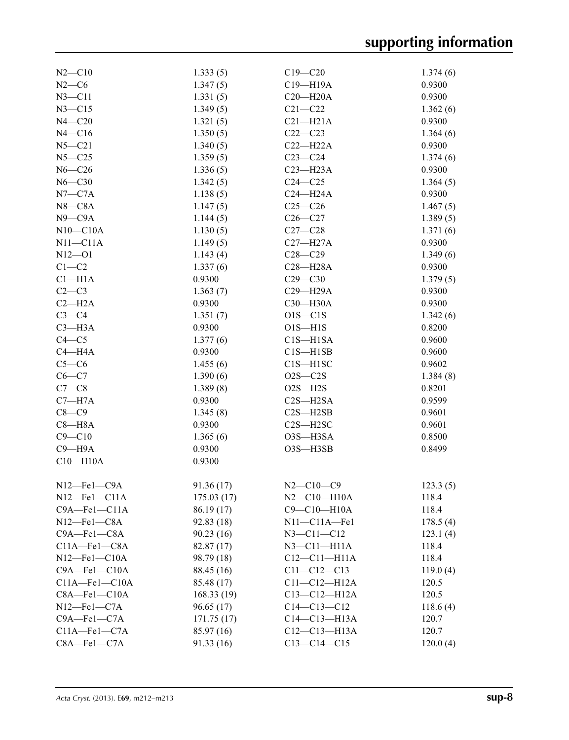| $N2$ —C10              | 1.333(5)   | $C19 - C20$           | 1.374(6) |
|------------------------|------------|-----------------------|----------|
| $N2-C6$                | 1.347(5)   | C19-H19A              | 0.9300   |
| $N3 - C11$             | 1.331(5)   | $C20 - H20A$          | 0.9300   |
| $N3 - C15$             | 1.349(5)   | $C21 - C22$           | 1.362(6) |
| $N4 - C20$             | 1.321(5)   | $C21 - H21A$          | 0.9300   |
| $N4 - C16$             | 1.350(5)   | $C22-C23$             | 1.364(6) |
| $N5 - C21$             | 1.340(5)   | $C22-H22A$            | 0.9300   |
| $N5 - C25$             | 1.359(5)   | $C23-C24$             | 1.374(6) |
| $N6 - C26$             | 1.336(5)   | $C23 - H23A$          | 0.9300   |
| $N6 - C30$             | 1.342(5)   | $C24 - C25$           | 1.364(5) |
| $N7-C7A$               | 1.138(5)   | $C24 - H24A$          | 0.9300   |
| $N8 - C8A$             | 1.147(5)   | $C25-C26$             | 1.467(5) |
| $N9$ — $C9A$           | 1.144(5)   | $C26 - C27$           | 1.389(5) |
| $N10-C10A$             | 1.130(5)   | $C27 - C28$           | 1.371(6) |
| $N11 - C11A$           | 1.149(5)   | $C27 - H27A$          | 0.9300   |
| $N12 - 01$             | 1.143(4)   | $C28 - C29$           | 1.349(6) |
|                        |            | $C28 - H28A$          | 0.9300   |
| $C1-C2$                | 1.337(6)   |                       |          |
| Cl <sub>–H1A</sub>     | 0.9300     | $C29 - C30$           | 1.379(5) |
| $C2-C3$                | 1.363(7)   | $C29 - H29A$          | 0.9300   |
| $C2-H2A$               | 0.9300     | C30-H30A              | 0.9300   |
| $C3-C4$                | 1.351(7)   | $O1S - C1S$           | 1.342(6) |
| $C3 - H3A$             | 0.9300     | $O1S - H1S$           | 0.8200   |
| $C4 - C5$              | 1.377(6)   | $C1S - H1SA$          | 0.9600   |
| $C4 - H4A$             | 0.9300     | $C1S - H1SB$          | 0.9600   |
| $C5-C6$                | 1.455(6)   | $C1S - H1SC$          | 0.9602   |
| $C6 - C7$              | 1.390(6)   | $O2S - C2S$           | 1.384(8) |
| $C7-C8$                | 1.389(8)   | $O2S - H2S$           | 0.8201   |
| $C7 - H7A$             | 0.9300     | $C2S - H2SA$          | 0.9599   |
| $C8-C9$                | 1.345(8)   | $C2S - H2SB$          | 0.9601   |
| $C8 - H8A$             | 0.9300     | $C2S - H2SC$          | 0.9601   |
| $C9 - C10$             | 1.365(6)   | O3S-H3SA              | 0.8500   |
| $C9 - H9A$             | 0.9300     | O3S-H3SB              | 0.8499   |
| $C10 - H10A$           | 0.9300     |                       |          |
|                        |            |                       |          |
| $N12$ -Fel-C9A         | 91.36 (17) | $N2 - C10 - C9$       | 123.3(5) |
| $N12$ —Fel—Cl1A        | 175.03(17) | $N2$ – $C10$ – $H10A$ | 118.4    |
| $C9A - Fe1 - C11A$     | 86.19 (17) | C9-C10-H10A           | 118.4    |
| $N12$ —Fel—C8A         | 92.83(18)  | $N11-C11A–Fe1$        | 178.5(4) |
| $C9A - Fe1 - C8A$      | 90.23(16)  | $N3 - C11 - C12$      | 123.1(4) |
| $C11A - Fe1 - C8A$     | 82.87 (17) | $N3$ — $C11$ — $H11A$ | 118.4    |
| $N12$ —Fe $1$ —C $10A$ | 98.79 (18) | $C12-C11-H11A$        | 118.4    |
| $C9A - Fe1 - C10A$     | 88.45 (16) | $C11 - C12 - C13$     | 119.0(4) |
| $C11A - Fe1 - C10A$    | 85.48 (17) | $C11-C12-H12A$        | 120.5    |
| $C8A - Fe1 - C10A$     | 168.33(19) | $C13 - C12 - H12A$    | 120.5    |
| $N12$ —Fe $1$ —C7A     | 96.65(17)  | $C14 - C13 - C12$     | 118.6(4) |
| C9A-Fe1-C7A            | 171.75(17) | $C14-C13-H13A$        | 120.7    |
| $C11A - Fe1 - C7A$     | 85.97 (16) | $C12 - C13 - H13A$    | 120.7    |
| $C8A - Fe1 - C7A$      | 91.33(16)  | $C13 - C14 - C15$     | 120.0(4) |
|                        |            |                       |          |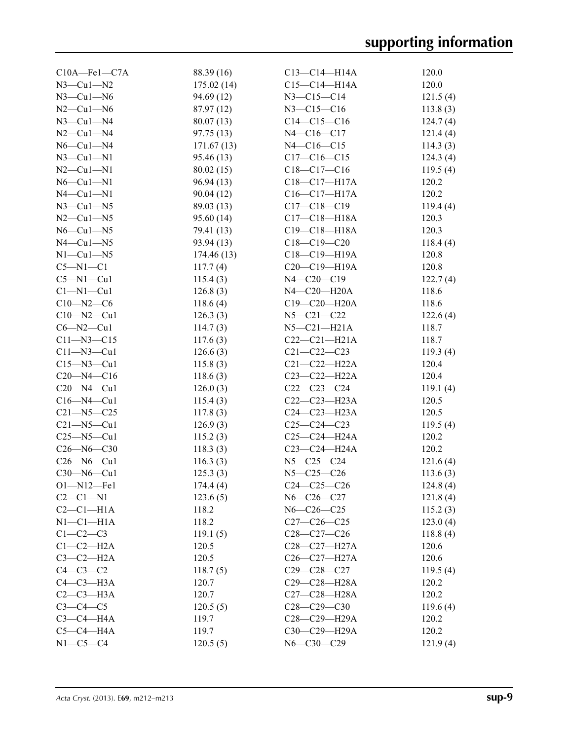| $C10A - Fe1 - C7A$  | 88.39 (16) | $C13 - C14 - H14A$                       | 120.0    |
|---------------------|------------|------------------------------------------|----------|
| $N3$ —Cu1—N2        | 175.02(14) | $C15 - C14 - H14A$                       | 120.0    |
| $N3$ —Cu1—N6        | 94.69 (12) | $N3 - C15 - C14$                         | 121.5(4) |
| $N2$ —Cu1—N6        | 87.97 (12) | $N3 - C15 - C16$                         | 113.8(3) |
| $N3$ –Cul–N4        | 80.07(13)  | $C14-C15-C16$                            | 124.7(4) |
| $N2$ —Cu1—N4        | 97.75(13)  | $N4 - C16 - C17$                         | 121.4(4) |
| $N6$ — $Cu1$ — $N4$ | 171.67(13) | $N4 - C16 - C15$                         | 114.3(3) |
| $N3$ —Cu1—N1        | 95.46 (13) | $C17 - C16 - C15$                        | 124.3(4) |
| $N2$ — $Cu1$ — $N1$ | 80.02(15)  | $C18 - C17 - C16$                        | 119.5(4) |
| $N6$ — $Cu1$ — $N1$ | 96.94(13)  | $C18 - C17 - H17A$                       | 120.2    |
| $N4$ — $Cu1$ — $N1$ | 90.04(12)  | $C16 - C17 - H17A$                       | 120.2    |
| $N3$ —Cu1—N5        | 89.03 (13) | $C17 - C18 - C19$                        | 119.4(4) |
| $N2-Cu1-N5$         | 95.60 (14) | $C17 - C18 - H18A$                       | 120.3    |
| $N6$ — $Cu1$ — $N5$ | 79.41 (13) | $C19 - C18 - H18A$                       | 120.3    |
| $N4$ — $Cu1$ — $N5$ | 93.94(13)  | $C18 - C19 - C20$                        | 118.4(4) |
| $N1-Cu1-N5$         | 174.46(13) | $C18 - C19 - H19A$                       | 120.8    |
| $C5-M1-C1$          | 117.7(4)   | $C20-C19-H19A$                           | 120.8    |
| $C5 - N1 - Cu1$     | 115.4(3)   | $N4 - C20 - C19$                         | 122.7(4) |
| $Cl-M1-Cu1$         | 126.8(3)   | $N4$ -C <sub>20</sub> -H <sub>20</sub> A | 118.6    |
| $C10 - N2 - C6$     | 118.6(4)   | $C19 - C20 - H20A$                       | 118.6    |
| $C10 - N2 - Cu1$    | 126.3(3)   | $N5 - C21 - C22$                         | 122.6(4) |
| $C6 - N2 - Cu1$     | 114.7(3)   | $N5-C21-H21A$                            | 118.7    |
| $C11 - N3 - C15$    | 117.6(3)   | $C22-C21-H21A$                           | 118.7    |
| $Cl1 - N3 - Cl1$    | 126.6(3)   | $C21 - C22 - C23$                        | 119.3(4) |
| $C15 - N3 - Cu1$    | 115.8(3)   | $C21 - C22 - H22A$                       | 120.4    |
| $C20 - N4 - C16$    |            | $C23 - C22 - H22A$                       | 120.4    |
| $C20 - N4 - Cu1$    | 118.6(3)   | $C22-C23-C24$                            |          |
|                     | 126.0(3)   |                                          | 119.1(4) |
| $C16 - N4 - Cu1$    | 115.4(3)   | $C22-C23-H23A$                           | 120.5    |
| $C21 - N5 - C25$    | 117.8(3)   | $C24 - C23 - H23A$                       | 120.5    |
| $C21 - N5 - Cu1$    | 126.9(3)   | $C25-C24-C23$                            | 119.5(4) |
| $C25 - N5 - Cu1$    | 115.2(3)   | $C25-C24-H24A$                           | 120.2    |
| $C26 - N6 - C30$    | 118.3(3)   | C23-C24-H24A                             | 120.2    |
| $C26 - N6 - Cu1$    | 116.3(3)   | $N5 - C25 - C24$                         | 121.6(4) |
| $C30 - N6 - Cu1$    | 125.3(3)   | $N5 - C25 - C26$                         | 113.6(3) |
| $O1 - N12 - Fe1$    | 174.4(4)   | $C24 - C25 - C26$                        | 124.8(4) |
| $C2-C1-N1$          | 123.6(5)   | $N6 - C26 - C27$                         | 121.8(4) |
| $C2-C1-H1A$         | 118.2      | $N6 - C26 - C25$                         | 115.2(3) |
| $N1-C1-H1A$         | 118.2      | $C27-C26-C25$                            | 123.0(4) |
| $C1-C2-C3$          | 119.1(5)   | $C28-C27-C26$                            | 118.8(4) |
| $C1-C2-H2A$         | 120.5      | $C28 - C27 - H27A$                       | 120.6    |
| $C3-C2-H2A$         | 120.5      | $C26 - C27 - H27A$                       | 120.6    |
| $C4-C3-C2$          | 118.7(5)   | $C29 - C28 - C27$                        | 119.5(4) |
| $C4-C3-H3A$         | 120.7      | C29-C28-H28A                             | 120.2    |
| $C2-C3-H3A$         | 120.7      | C27-C28-H28A                             | 120.2    |
| $C3-C4-C5$          | 120.5(5)   | $C28-C29-C30$                            | 119.6(4) |
| $C3-C4-H4A$         | 119.7      | C28-C29-H29A                             | 120.2    |
| $C5-C4-H4A$         | 119.7      | C30-C29-H29A                             | 120.2    |
| $N1-C5-C4$          | 120.5(5)   | $N6 - C30 - C29$                         | 121.9(4) |